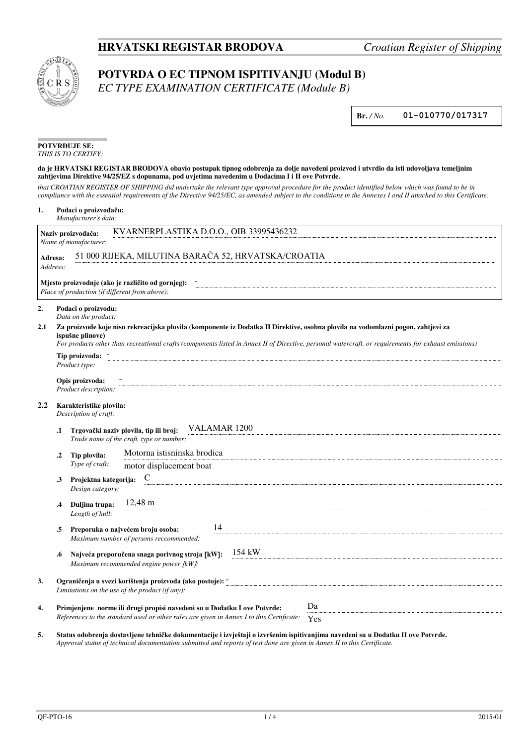## **HRVATSKI REGISTAR BRODOVA** *Croatian Register of Shipping*



## **POTVRDA O EC TIPNOM ISPITIVANJU (Modul B)**

*EC TYPE EXAMINATION CERTIFICATE (Module B)*

**Br.** */ No.* **01-010770/017317**

| <b>POTVRDUJE SE:</b> |
|----------------------|
| THIS IS TO CERTIFY:  |

## **da je HRVATSKI REGISTAR BRODOVA obavio postupak tipnog odobrenja za dolje navedeni proizvod i utvrdio da isti udovoljava temeljnim zahtjevima Direktive 94/25/EZ s dopunama, pod uvjetima navedenim u Dodacima I i II ove Potvrde.**

*that CROATIAN REGISTER OF SHIPPING did undertake the relevant type approval procedure for the product identified below which was found to be in compliance with the essential requirements of the Directive 94/25/EC, as amended subject to the conditions in the Annexes I and II attached to this Certificate.*

| 1.                                                                  |                                                                                                                                                                                                                                                                                                              | Podaci o proizvođaču:<br>Manufacturer's data:          |                                                                                                                                                                            |  |  |  |  |  |  |  |
|---------------------------------------------------------------------|--------------------------------------------------------------------------------------------------------------------------------------------------------------------------------------------------------------------------------------------------------------------------------------------------------------|--------------------------------------------------------|----------------------------------------------------------------------------------------------------------------------------------------------------------------------------|--|--|--|--|--|--|--|
|                                                                     |                                                                                                                                                                                                                                                                                                              | Naziv proizvođača:                                     | KVARNERPLASTIKA D.O.O., OIB 33995436232                                                                                                                                    |  |  |  |  |  |  |  |
|                                                                     |                                                                                                                                                                                                                                                                                                              | Name of manufacturer:                                  |                                                                                                                                                                            |  |  |  |  |  |  |  |
|                                                                     | Adresa:<br>Address:                                                                                                                                                                                                                                                                                          |                                                        | 51 000 RIJEKA, MILUTINA BARAČA 52, HRVATSKA/CROATIA                                                                                                                        |  |  |  |  |  |  |  |
|                                                                     |                                                                                                                                                                                                                                                                                                              | Place of production (if different from above):         | Mjesto proizvodnje (ako je različito od gornjeg):                                                                                                                          |  |  |  |  |  |  |  |
| 2.                                                                  | Podaci o proizvodu:<br>Data on the product:                                                                                                                                                                                                                                                                  |                                                        |                                                                                                                                                                            |  |  |  |  |  |  |  |
| 2.1                                                                 | Za proizvode koje nisu rekreacijska plovila (komponente iz Dodatka II Direktive, osobna plovila na vodomlazni pogon, zahtjevi za<br>ispušne plinove)<br>For products other than recreational crafts (components listed in Annex II of Directive, personal watercraft, or requirements for exhaust emissions) |                                                        |                                                                                                                                                                            |  |  |  |  |  |  |  |
|                                                                     | Tip proizvoda: -<br>Product type:                                                                                                                                                                                                                                                                            |                                                        |                                                                                                                                                                            |  |  |  |  |  |  |  |
|                                                                     | Opis proizvoda:<br>Product description:                                                                                                                                                                                                                                                                      |                                                        |                                                                                                                                                                            |  |  |  |  |  |  |  |
| $2.2\,$                                                             | Karakteristike plovila:<br>Description of craft:                                                                                                                                                                                                                                                             |                                                        |                                                                                                                                                                            |  |  |  |  |  |  |  |
|                                                                     | .1                                                                                                                                                                                                                                                                                                           | VALAMAR 1200<br>Trgovački naziv plovila, tip ili broj: |                                                                                                                                                                            |  |  |  |  |  |  |  |
|                                                                     |                                                                                                                                                                                                                                                                                                              |                                                        | Trade name of the craft, type or number:                                                                                                                                   |  |  |  |  |  |  |  |
| Motorna istisninska brodica<br>Tip plovila:<br>$\cdot$ <sup>2</sup> |                                                                                                                                                                                                                                                                                                              |                                                        |                                                                                                                                                                            |  |  |  |  |  |  |  |
|                                                                     |                                                                                                                                                                                                                                                                                                              | Type of craft:                                         | motor displacement boat                                                                                                                                                    |  |  |  |  |  |  |  |
|                                                                     | $\cdot$ 3                                                                                                                                                                                                                                                                                                    | Projektna kategorija:<br>Design category:              | $\mathbf C$                                                                                                                                                                |  |  |  |  |  |  |  |
|                                                                     | .4                                                                                                                                                                                                                                                                                                           | Duljina trupa:<br>Length of hull:                      | $12,48 \text{ m}$                                                                                                                                                          |  |  |  |  |  |  |  |
|                                                                     | .5                                                                                                                                                                                                                                                                                                           |                                                        | 14<br>Preporuka o najvećem broju osoba:<br>Maximum number of persons reccommended:                                                                                         |  |  |  |  |  |  |  |
|                                                                     | .6                                                                                                                                                                                                                                                                                                           |                                                        | 154 kW<br>Najveća preporučena snaga porivnog stroja [kW]:<br>Maximum recommended engine power [kW]:                                                                        |  |  |  |  |  |  |  |
| 3.                                                                  |                                                                                                                                                                                                                                                                                                              |                                                        | Ograničenja u svezi korištenja proizvoda (ako postoje): -<br>Limitations on the use of the product (if any):                                                               |  |  |  |  |  |  |  |
| 4.                                                                  |                                                                                                                                                                                                                                                                                                              |                                                        | Da<br>Primjenjene norme ili drugi propisi navedeni su u Dodatku I ove Potvrde:<br>References to the standard used or other rules are given in Annex I to this Certificate: |  |  |  |  |  |  |  |
|                                                                     |                                                                                                                                                                                                                                                                                                              |                                                        | Yes                                                                                                                                                                        |  |  |  |  |  |  |  |

**5. Status odobrenja dostavljene tehničke dokumentacije i izvještaji o izvršenim ispitivanjima navedeni su u Dodatku II ove Potvrde.** *Approval status of technical documentation submitted and reports of test done are given in Annex II to this Certificate.*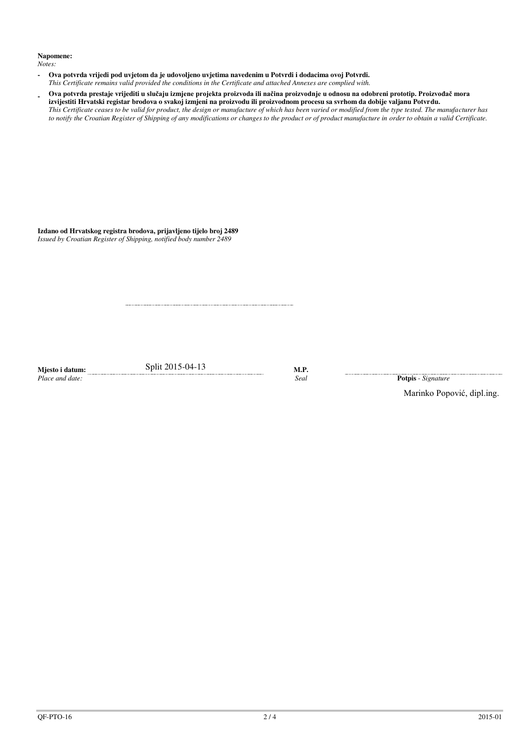## **Napomene:**

*Notes:*

- **Ova potvrda vrijedi pod uvjetom da je udovoljeno uvjetima navedenim u Potvrdi i dodacima ovoj Potvrdi.**  *This Certificate remains valid provided the conditions in the Certificate and attached Annexes are complied with.*
- **Ova potvrda prestaje vrijediti u slučaju izmjene projekta proizvoda ili načina proizvodnje u odnosu na odobreni prototip. Proizvođač mora izvijestiti Hrvatski registar brodova o svakoj izmjeni na proizvodu ili proizvodnom procesu sa svrhom da dobije valjanu Potvrdu.** *This Certificate ceases to be valid for product, the design or manufacture of which has been varied or modified from the type tested. The manufacturer has to notify the Croatian Register of Shipping of any modifications or changes to the product or of product manufacture in order to obtain a valid Certificate.*

**Izdano od Hrvatskog registra brodova, prijavljeno tijelo broj 2489**  *Issued by Croatian Register of Shipping, notified body number 2489*

Mjesto i datum: <u>contracts Split</u> 2015-04-13 M.P.<br>Place and date: Seal

*Place and date:**Seal* **Potpis** - *Signature* 

Marinko Popović, dipl.ing.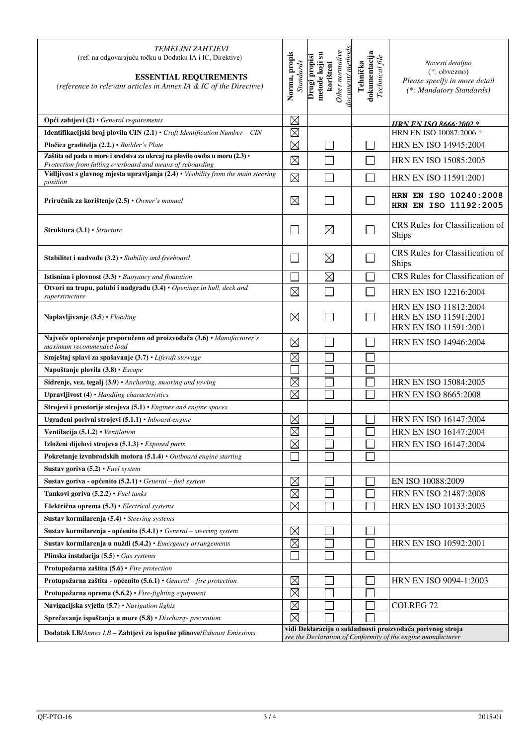| <b>TEMELJNI ZAHTJEVI</b><br>(ref. na odgovarajuću točku u Dodatku IA i IC, Direktive)<br><b>ESSENTIAL REQUIREMENTS</b><br>(reference to relevant articles in Annex IA & IC of the Directive) | Norma, propis<br><b>Standards</b> | locument/methods<br>Other normative<br>metode koji su<br>Drugi propisi<br>korišteni | dokumentacija<br>Technical file<br>Tehnička | Navesti detaljno<br>$(*: obvezno)$<br>Please specify in more detail<br>(*: Mandatory Standards) |
|----------------------------------------------------------------------------------------------------------------------------------------------------------------------------------------------|-----------------------------------|-------------------------------------------------------------------------------------|---------------------------------------------|-------------------------------------------------------------------------------------------------|
| Opći zahtjevi (2) · General requirements                                                                                                                                                     | $\boxtimes$                       |                                                                                     |                                             | <u>HRN EN ISO 8666-2002 *</u>                                                                   |
| Identifikacijski broj plovila $CIN(2.1)$ · Craft Identification Number - CIN                                                                                                                 | $\boxtimes$                       |                                                                                     |                                             | HRN EN ISO 10087:2006 *                                                                         |
| Pločica graditelja (2.2.) · Builder's Plate                                                                                                                                                  | $\boxtimes$                       |                                                                                     |                                             | HRN EN ISO 14945:2004                                                                           |
| Zaštita od pada u more i sredstva za ukrcaj na plovilo osoba u moru (2.3) ·<br>Protection from falling overboard and means of reboarding                                                     | $\boxtimes$                       |                                                                                     |                                             | HRN EN ISO 15085:2005                                                                           |
| Vidljivost s glavnog mjesta upravljanja (2.4) · Visibility from the main steering<br>position                                                                                                | $\boxtimes$                       |                                                                                     |                                             | <b>HRN EN ISO 11591:2001</b>                                                                    |
| Priručnik za korištenje (2.5) • Owner's manual                                                                                                                                               | $\boxtimes$                       |                                                                                     |                                             | HRN EN ISO 10240:2008<br>HRN EN ISO 11192:2005                                                  |
| <b>Struktura</b> $(3.1)$ • <i>Structure</i>                                                                                                                                                  | $\mathbf{L}$                      | $\boxtimes$                                                                         |                                             | CRS Rules for Classification of<br>Ships                                                        |
| Stabilitet i nadvođe (3.2) • Stability and freeboard                                                                                                                                         | $\Box$                            | $\boxtimes$                                                                         |                                             | CRS Rules for Classification of<br>Ships                                                        |
| <b>Istisnina i plovnost</b> $(3.3)$ $\cdot$ <i>Buoyancy and floatation</i>                                                                                                                   |                                   | $\boxtimes$                                                                         |                                             | <b>CRS</b> Rules for Classification of                                                          |
| Otvori na trupu, palubi i nadgrađu (3.4) · Openings in hull, deck and<br>superstructure                                                                                                      | $\boxtimes$                       |                                                                                     |                                             | HRN EN ISO 12216:2004                                                                           |
| Naplavljivanje (3.5) • Flooding                                                                                                                                                              | $\boxtimes$                       |                                                                                     |                                             | HRN EN ISO 11812:2004<br>HRN EN ISO 11591:2001<br>HRN EN ISO 11591:2001                         |
| Najveće opterećenje preporučeno od proizvođača (3.6) · Manufacturer's<br>maximum recommended load                                                                                            | $\boxtimes$                       |                                                                                     |                                             | <b>HRN EN ISO 14946:2004</b>                                                                    |
| Smještaj splavi za spašavanje (3.7) • Liferaft stowage                                                                                                                                       | $\boxtimes$                       |                                                                                     |                                             |                                                                                                 |
| Napuštanje plovila (3.8) • Escape                                                                                                                                                            |                                   |                                                                                     |                                             |                                                                                                 |
| Sidrenje, vez, tegalj (3.9) • Anchoring, mooring and towing                                                                                                                                  | $\boxtimes$                       |                                                                                     |                                             | HRN EN ISO 15084:2005                                                                           |
| Upravljivost (4) · Handling characteristics                                                                                                                                                  | $\times$                          |                                                                                     |                                             | <b>HRN EN ISO 8665:2008</b>                                                                     |
| Strojevi i prostorije strojeva $(5.1)$ $\cdot$ Engines and engine spaces                                                                                                                     |                                   |                                                                                     |                                             |                                                                                                 |
| Ugrađeni porivni strojevi (5.1.1) • Inboard engine                                                                                                                                           | $\boxtimes$                       |                                                                                     |                                             | HRN EN ISO 16147:2004                                                                           |
| Ventilacija $(5.1.2)$ • Ventilation                                                                                                                                                          | $\boxtimes$                       |                                                                                     |                                             | HRN EN ISO 16147:2004                                                                           |
| Izloženi dijelovi strojeva (5.1.3) • Exposed parts                                                                                                                                           | $\boxtimes$                       |                                                                                     |                                             | HRN EN ISO 16147:2004                                                                           |
| Pokretanje izvnbrodskih motora (5.1.4) · Outboard engine starting                                                                                                                            |                                   |                                                                                     |                                             |                                                                                                 |
| Sustav goriva $(5.2)$ • Fuel system                                                                                                                                                          |                                   |                                                                                     |                                             |                                                                                                 |
| Sustav goriva - općenito $(5.2.1)$ · General - fuel system                                                                                                                                   | $\boxtimes$                       |                                                                                     |                                             | EN ISO 10088:2009                                                                               |
| Tankovi goriva (5.2.2) · Fuel tanks                                                                                                                                                          | $\boxtimes$                       |                                                                                     |                                             | HRN EN ISO 21487:2008                                                                           |
| Električna oprema (5.3) · Electrical systems                                                                                                                                                 | $\boxtimes$                       |                                                                                     |                                             | HRN EN ISO 10133:2003                                                                           |
| Sustav kormilarenja (5.4) · Steering systems                                                                                                                                                 |                                   |                                                                                     |                                             |                                                                                                 |
| Sustav kormilarenja - općenito (5.4.1) • General - steering system                                                                                                                           | $\boxtimes$                       |                                                                                     |                                             |                                                                                                 |
| Sustav kormilarenja u nuždi (5.4.2) • Emergency arrangements                                                                                                                                 | $\boxtimes$                       |                                                                                     |                                             | HRN EN ISO 10592:2001                                                                           |
| Plinska instalacija $(5.5) \cdot$ Gas systems                                                                                                                                                |                                   |                                                                                     |                                             |                                                                                                 |
| Protupožarna zaštita (5.6) · Fire protection                                                                                                                                                 |                                   |                                                                                     |                                             |                                                                                                 |
| Protupožarna zaštita - općenito $(5.6.1)$ · General – fire protection                                                                                                                        | $\boxtimes$<br>$\boxtimes$        |                                                                                     |                                             | HRN EN ISO 9094-1:2003                                                                          |
| Protupožarna oprema (5.6.2) · Fire-fighting equipment                                                                                                                                        | $\boxtimes$                       |                                                                                     |                                             | <b>COLREG 72</b>                                                                                |
| Navigacijska svjetla (5.7) · Navigation lights                                                                                                                                               | $\boxtimes$                       |                                                                                     |                                             |                                                                                                 |
| Sprečavanje ispuštanja u more (5.8) · Discharge prevention                                                                                                                                   |                                   |                                                                                     |                                             | vidi Deklaraciju o sukladnosti proizvođača porivnog stroja                                      |
| Dodatak I.B/Annex I.B - Zahtjevi za ispušne plinove/Exhaust Emissions                                                                                                                        |                                   |                                                                                     |                                             | see the Declaration of Conformity of the engine manufacturer                                    |